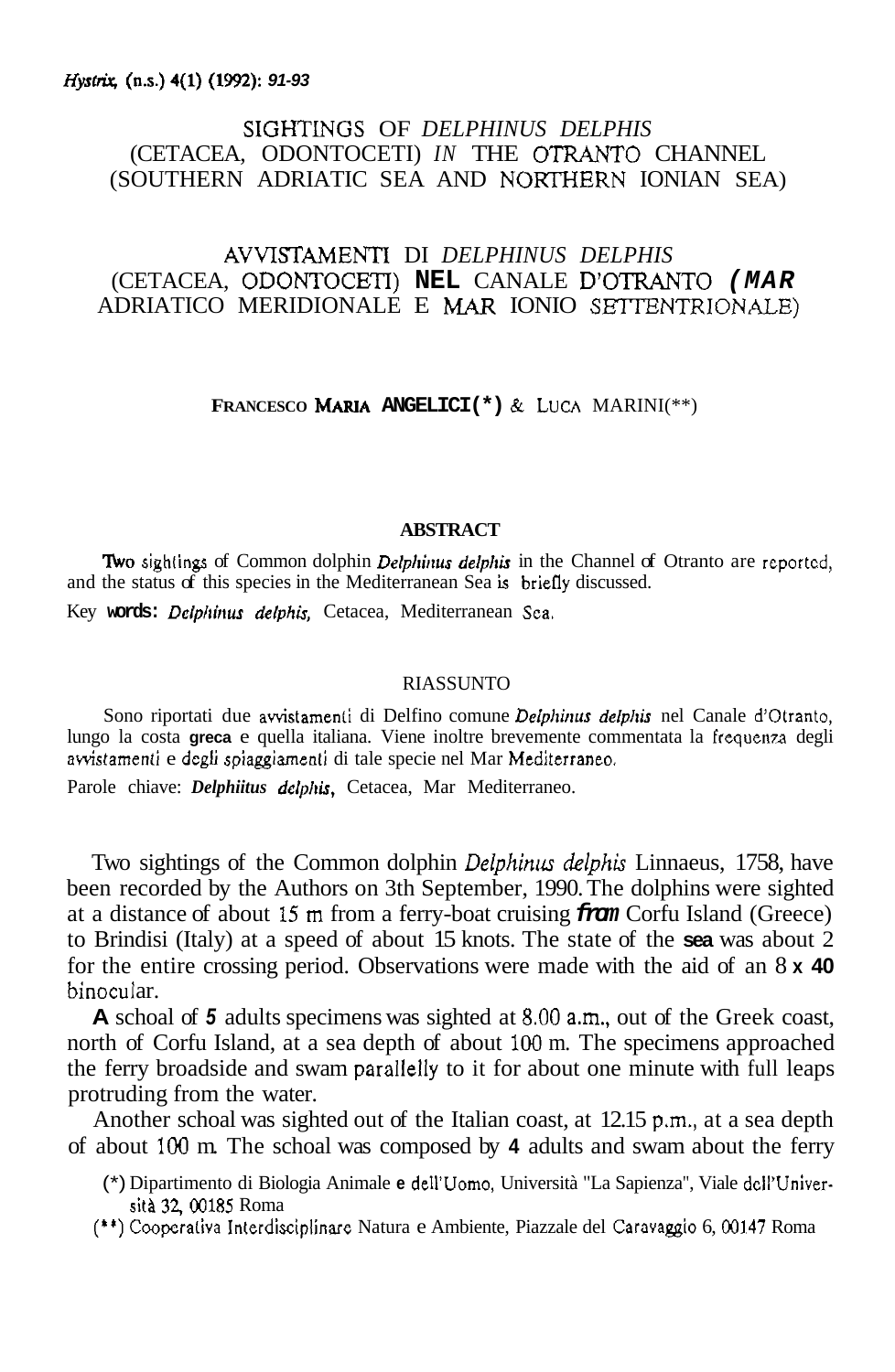## *Hyst&* **(as.) 4(1) (1992):** *91-93*

# SIGHTINGS OF *DELPHINUS DELPHIS* (CETACEA, ODONTOCETI) *IN* THE OTRANTO CHANNEL (SOUTHERN ADRIATIC SEA AND NOKINERN IONIAN SEA)

# AVVISTAMENTi DI *DELPHINUS DELPHIS*  (CETACEA, **ODONTOCETI) NEL** CANALE D'OTRANTO *(MAR*  ADRIATICO MERIDIONALE E MAR IONIO SETTENTRIONALE)

**FRANCESCO MARIA ANGELICI(\*) & LUCA MARINI(\*\*)** 

### **ABSTRACT**

**Two sightings of Common dolphin** *Delphinus delphis* in the Channel of Otranto are reported, and the status of this species in the Mediterranean Sea is briefiy discussed.

Key **words:** *Dclphinus deiphis,* Cetacea, Mediterranean Sea.

#### RIASSUNTO

Sono riportati due avvistamenti di Delfino comune *Delphinus delphis* nel Canale d'Otranto, lungo la costa **greca** e quella italiana. Viene inoltre brevemente commentata la frequenza degli awistamenti e degli spiaggiamenti di tale specie nel Mar Mediterraneo.

Parole chiave: *Delphiitus delphis,* Cetacea, Mar Mediterraneo.

Two sightings of the Common dolphin *Delphinus delphis* Linnaeus, 1758, have been recorded by the Authors on 3th September, 1990. The dolphins were sighted at a distance of about **i5 rn** from a ferry-boat cruising *from* Corfu Island (Greece) to Brindisi (Italy) at a speed of about 15 knots. The state of the **sea** was about 2 for the entire crossing period. Observations were made with the aid of an 8 **x 40**  binocular.

**A** schoal of *5* adults specimens was sighted at **8.00** a.m., out of the Greek coast, north of Corfu Island, at a sea depth of about 100 m. The specimens approached the ferry broadside and swam parallelly to it for about one minute with full leaps protruding from the water.

Another schoal was sighted out of the Italian coast, at 12.15 p.m., at a sea depth of about 100 m. The schoal was composed by **4** adults and swam about the ferry

(\*) Dipartimento di Biologia Animale **e** dell'Uomo, Università "La Sapienza", Viale dcll'Universiti **32,00185** Roma

(\*\*) Coopcraiiva Interdisciplinare Natura e Ambiente, Piazzale del Caravaggio 6, **00147** Roma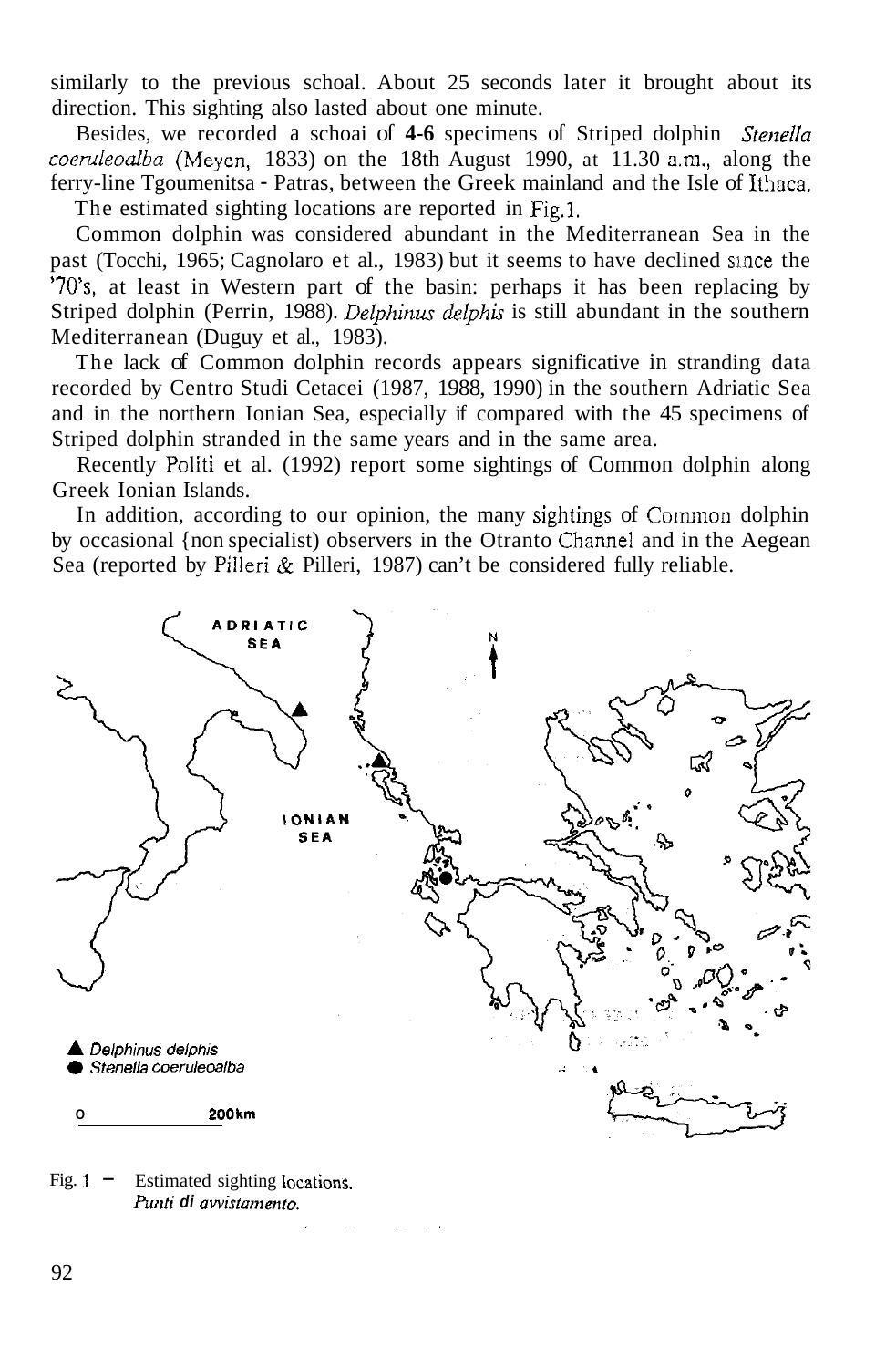similarly to the previous schoal. About 25 seconds later it brought about its direction. This sighting also lasted about one minute.

Besides, we recorded a schoai of **4-6** specimens of Striped dolphin *Stenella coeruleodba* (Meyen, 1833) on the 18th August 1990, at 11.30 am., along the ferry-line Tgoumenitsa - Patras, between the Greek mainland and the Isle of Ithaca. The estimated sighting locations are reported in Fig.1.

Common dolphin was considered abundant in the Mediterranean Sea in the past (Tocchi, 1965; Cagnolaro et al., 1983) but it seems to have declined siace the *'703,* at least in Western part of the basin: perhaps it has been replacing by Striped dolphin (Perrin, 1988). *Delphinus delphis* is still abundant in the southern Mediterranean (Duguy et al., 1983).

The lack of Common dolphin records appears significative in stranding data recorded by Centro Studi Cetacei (1987, 1988, 1990) in the southern Adriatic Sea and in the northern Ionian Sea, especially if compared with the 45 specimens of Striped dolphin stranded in the same years and in the same area.

Recently Politi et al. (1992) report some sightings of Common dolphin along Greek Ionian Islands.

In addition, according to our opinion, the many sightings of Common dolphin by occasional {non specialist) observers in the Otranto Channel and in the Aegean Sea (reported by Pilleri & Pilleri, 1987) can't be considered fully reliable.